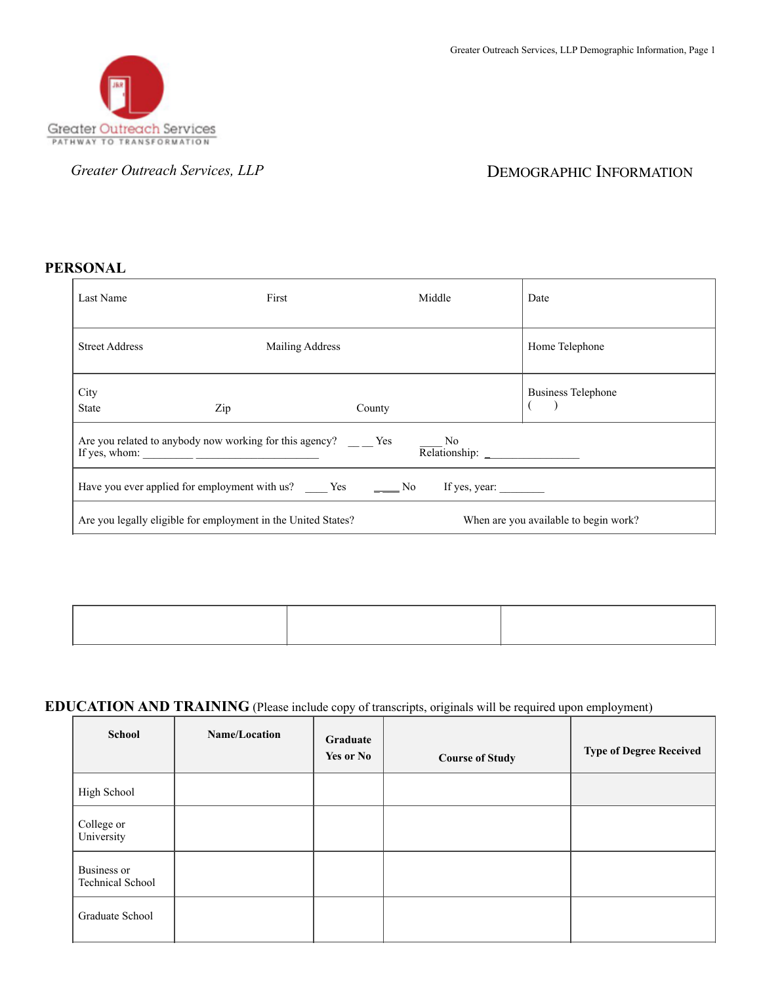

*Greater Outreach Services, LLP* **DEMOGRAPHIC INFORMATION** 

## **PERSONAL**

| Last Name                                                                                                                                                                                                                                                                                                                                                                                 | First |                        | Middle | Date                                  |
|-------------------------------------------------------------------------------------------------------------------------------------------------------------------------------------------------------------------------------------------------------------------------------------------------------------------------------------------------------------------------------------------|-------|------------------------|--------|---------------------------------------|
| <b>Street Address</b>                                                                                                                                                                                                                                                                                                                                                                     |       | <b>Mailing Address</b> |        | Home Telephone                        |
| City<br><b>State</b>                                                                                                                                                                                                                                                                                                                                                                      | Zip   | County                 |        | <b>Business Telephone</b>             |
| Are you related to anybody now working for this agency? $\qquad \qquad$ Yes<br>No.<br>If yes, whom: $\frac{1}{\sqrt{1-\frac{1}{2}} \cdot \frac{1}{\sqrt{1-\frac{1}{2}} \cdot \frac{1}{2}} \cdot \frac{1}{\sqrt{1-\frac{1}{2}} \cdot \frac{1}{2}}}}$                                                                                                                                       |       |                        |        |                                       |
| Have you ever applied for employment with us? $\frac{1}{\sqrt{1-\frac{1}{\sqrt{1-\frac{1}{\sqrt{1-\frac{1}{\sqrt{1-\frac{1}{\sqrt{1-\frac{1}{\sqrt{1-\frac{1}{\sqrt{1-\frac{1}{\sqrt{1-\frac{1}{\sqrt{1-\frac{1}{\sqrt{1-\frac{1}{\sqrt{1-\frac{1}{\sqrt{1-\frac{1}{\sqrt{1-\frac{1}{\sqrt{1-\frac{1}{\sqrt{1-\frac{1}{\sqrt{1-\frac{1}{\sqrt{1-\frac{1}{\sqrt{1-\frac{1}{\sqrt{1-\frac{$ |       |                        |        |                                       |
| Are you legally eligible for employment in the United States?                                                                                                                                                                                                                                                                                                                             |       |                        |        | When are you available to begin work? |

## **EDUCATION AND TRAINING** (Please include copy of transcripts, originals will be required upon employment)

| <b>School</b>                          | Name/Location | Graduate<br>Yes or No | <b>Course of Study</b> | <b>Type of Degree Received</b> |
|----------------------------------------|---------------|-----------------------|------------------------|--------------------------------|
| High School                            |               |                       |                        |                                |
| College or<br>University               |               |                       |                        |                                |
| Business or<br><b>Technical School</b> |               |                       |                        |                                |
| Graduate School                        |               |                       |                        |                                |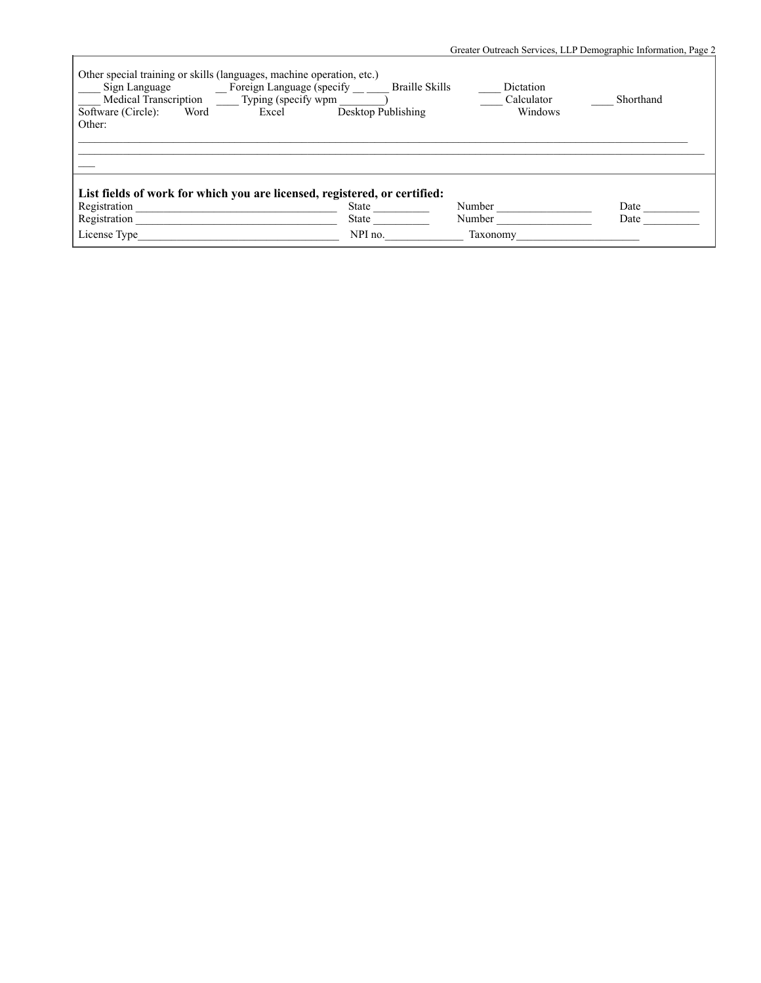|                                                                                                                                                                                      |                    | Greater Outreach Services, LLP Demographic Information, Page 2 |              |
|--------------------------------------------------------------------------------------------------------------------------------------------------------------------------------------|--------------------|----------------------------------------------------------------|--------------|
| Other special training or skills (languages, machine operation, etc.)<br>Medical Transcription _______ Typing (specify wpm ________<br>Software (Circle):<br>Word<br>Excel<br>Other: | Desktop Publishing | Dictation<br>Calculator<br>Windows                             | Shorthand    |
|                                                                                                                                                                                      |                    |                                                                |              |
| List fields of work for which you are licensed, registered, or certified:<br>Registration<br>Registration                                                                            | State<br>State     | Number<br>Number                                               | Date<br>Date |
| License Type                                                                                                                                                                         | NPI no.            | Taxonomy                                                       |              |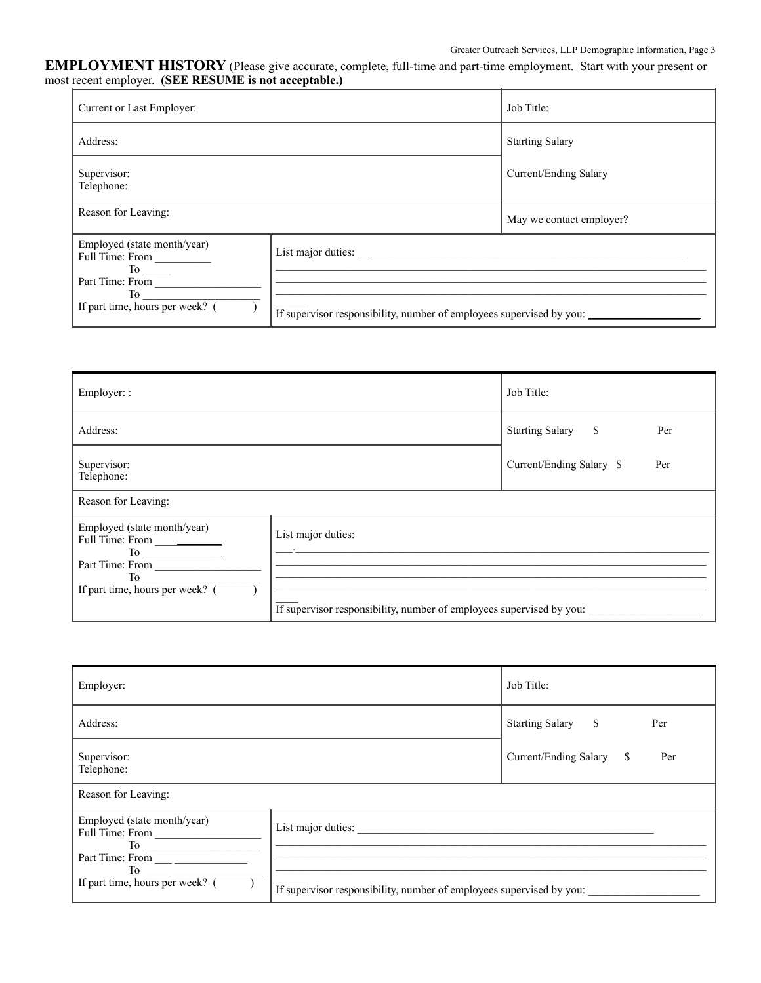## **EMPLOYMENT HISTORY** (Please give accurate, complete, full-time and part-time employment. Start with your present or most recent employer. **(SEE RESUME is not acceptable.)**

| Current or Last Employer:                                                                                                           |                                                                                            | Job Title:               |
|-------------------------------------------------------------------------------------------------------------------------------------|--------------------------------------------------------------------------------------------|--------------------------|
| Address:                                                                                                                            |                                                                                            | <b>Starting Salary</b>   |
| Supervisor:<br>Telephone:                                                                                                           |                                                                                            | Current/Ending Salary    |
| Reason for Leaving:                                                                                                                 |                                                                                            | May we contact employer? |
| Employed (state month/year)<br>Full Time: From<br>$To$ <sub>_____</sub><br>Part Time: From<br>To<br>If part time, hours per week? ( | List major duties:<br>If supervisor responsibility, number of employees supervised by you: |                          |

| Employer: :                                                                                                          |                                                                                            | Job Title:                      |
|----------------------------------------------------------------------------------------------------------------------|--------------------------------------------------------------------------------------------|---------------------------------|
| Address:                                                                                                             |                                                                                            | Starting Salary \$<br>Per       |
| Supervisor:<br>Telephone:                                                                                            |                                                                                            | Current/Ending Salary \$<br>Per |
| Reason for Leaving:                                                                                                  |                                                                                            |                                 |
| Employed (state month/year)<br>Full Time: From _________<br>Part Time: From<br>To<br>If part time, hours per week? ( | List major duties:<br>If supervisor responsibility, number of employees supervised by you: |                                 |

| Employer:                                            |                                                                      | Job Title:                      |
|------------------------------------------------------|----------------------------------------------------------------------|---------------------------------|
| Address:                                             |                                                                      | Starting Salary \$<br>Per       |
| Supervisor:<br>Telephone:                            |                                                                      | Current/Ending Salary \$<br>Per |
| Reason for Leaving:                                  |                                                                      |                                 |
| Employed (state month/year)<br>Full Time: From<br>To |                                                                      |                                 |
| If part time, hours per week? (                      | If supervisor responsibility, number of employees supervised by you: |                                 |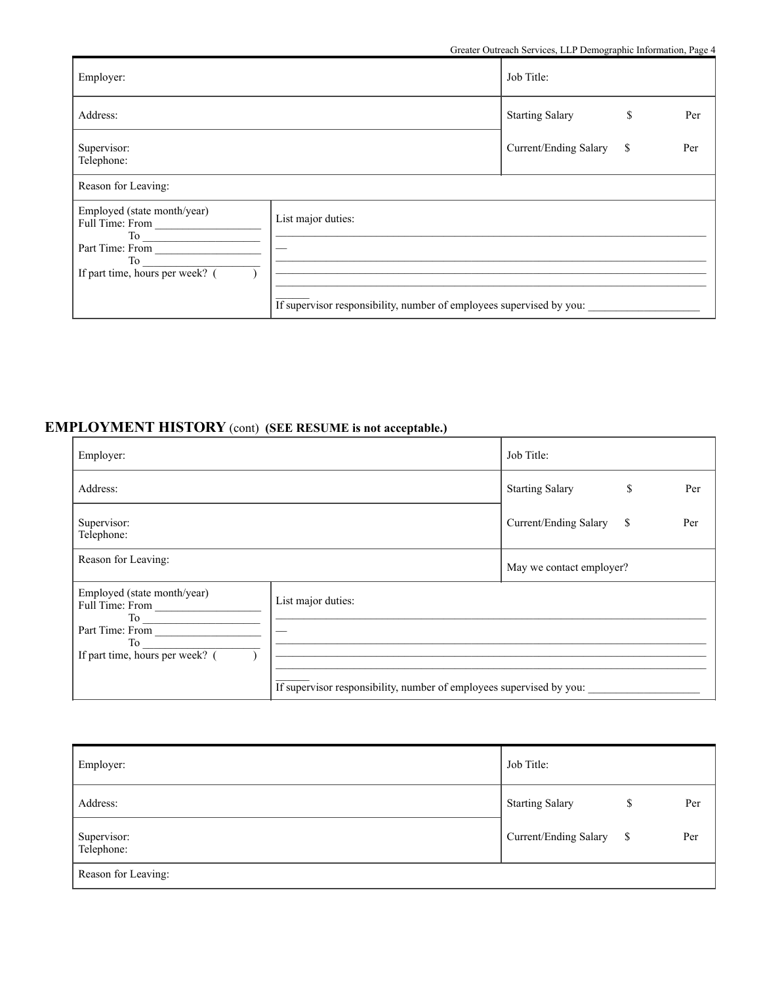| Employer:                                                                                                  |                                                                                            | Job Title:             |           |
|------------------------------------------------------------------------------------------------------------|--------------------------------------------------------------------------------------------|------------------------|-----------|
| Address:                                                                                                   |                                                                                            | <b>Starting Salary</b> | \$<br>Per |
| Supervisor:<br>Telephone:                                                                                  |                                                                                            | Current/Ending Salary  | \$<br>Per |
| Reason for Leaving:                                                                                        |                                                                                            |                        |           |
| Employed (state month/year)<br>Full Time: From<br>Part Time: From<br>To<br>If part time, hours per week? ( | List major duties:<br>If supervisor responsibility, number of employees supervised by you: |                        |           |

## **EMPLOYMENT HISTORY** (cont) **(SEE RESUME is not acceptable.)**

| Employer:                                                                                                                                   |                                                                                            | Job Title:               |               |     |
|---------------------------------------------------------------------------------------------------------------------------------------------|--------------------------------------------------------------------------------------------|--------------------------|---------------|-----|
| Address:                                                                                                                                    |                                                                                            | <b>Starting Salary</b>   | <sup>\$</sup> | Per |
| Supervisor:<br>Telephone:                                                                                                                   |                                                                                            | Current/Ending Salary    | <sup>\$</sup> | Per |
| Reason for Leaving:                                                                                                                         |                                                                                            | May we contact employer? |               |     |
| Employed (state month/year)<br>Full Time: From<br>$To \underline{\hspace{1cm}}$<br>Part Time: From<br>To<br>If part time, hours per week? ( | List major duties:<br>If supervisor responsibility, number of employees supervised by you: |                          |               |     |

| Employer:                 | Job Title:                          |
|---------------------------|-------------------------------------|
| Address:                  | <b>Starting Salary</b><br>Per<br>\$ |
| Supervisor:<br>Telephone: | Current/Ending Salary \$<br>Per     |
| Reason for Leaving:       |                                     |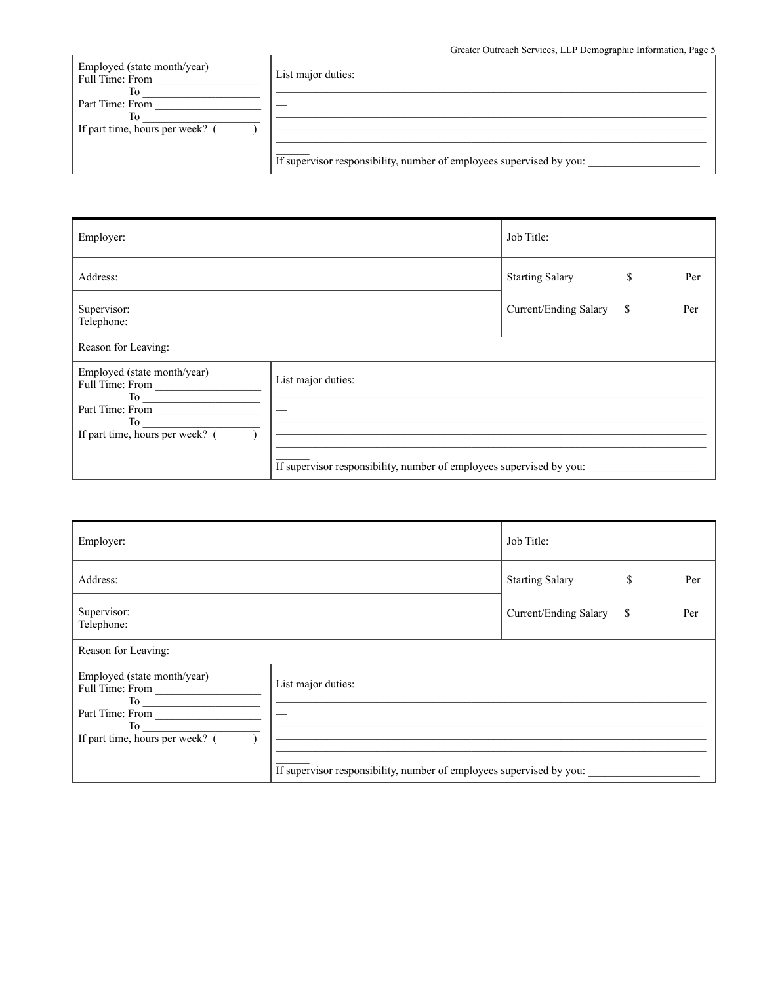Greater Outreach Services, LLP Demographic Information, Page 5

| Employed (state month/year)<br>Full Time: From | List major duties:                                                   |
|------------------------------------------------|----------------------------------------------------------------------|
|                                                |                                                                      |
| Part Time: From                                |                                                                      |
| To                                             |                                                                      |
| If part time, hours per week? (                |                                                                      |
|                                                |                                                                      |
|                                                | If supervisor responsibility, number of employees supervised by you: |

| Employer:                                                                                                  |                                                                                            | Job Title:             |               |     |
|------------------------------------------------------------------------------------------------------------|--------------------------------------------------------------------------------------------|------------------------|---------------|-----|
| Address:                                                                                                   |                                                                                            | <b>Starting Salary</b> | \$            | Per |
| Supervisor:<br>Telephone:                                                                                  |                                                                                            | Current/Ending Salary  | <sup>\$</sup> | Per |
| Reason for Leaving:                                                                                        |                                                                                            |                        |               |     |
| Employed (state month/year)<br>Full Time: From<br>Part Time: From<br>To<br>If part time, hours per week? ( | List major duties:<br>If supervisor responsibility, number of employees supervised by you: |                        |               |     |

| Employer:                                                                                                                                                                                                                                                                                                                                                                                                                            | Job Title:               |    |     |  |  |  |  |
|--------------------------------------------------------------------------------------------------------------------------------------------------------------------------------------------------------------------------------------------------------------------------------------------------------------------------------------------------------------------------------------------------------------------------------------|--------------------------|----|-----|--|--|--|--|
| Address:                                                                                                                                                                                                                                                                                                                                                                                                                             | <b>Starting Salary</b>   | \$ | Per |  |  |  |  |
| Supervisor:<br>Telephone:                                                                                                                                                                                                                                                                                                                                                                                                            | Current/Ending Salary \$ |    | Per |  |  |  |  |
| Reason for Leaving:                                                                                                                                                                                                                                                                                                                                                                                                                  |                          |    |     |  |  |  |  |
| Employed (state month/year)<br>List major duties:<br>Full Time: From<br>Part Time: From<br>To the contract of the contract of the contract of the contract of the contract of the contract of the contract of the contract of the contract of the contract of the contract of the contract of the contract of the contrac<br>If part time, hours per week? (<br>If supervisor responsibility, number of employees supervised by you: |                          |    |     |  |  |  |  |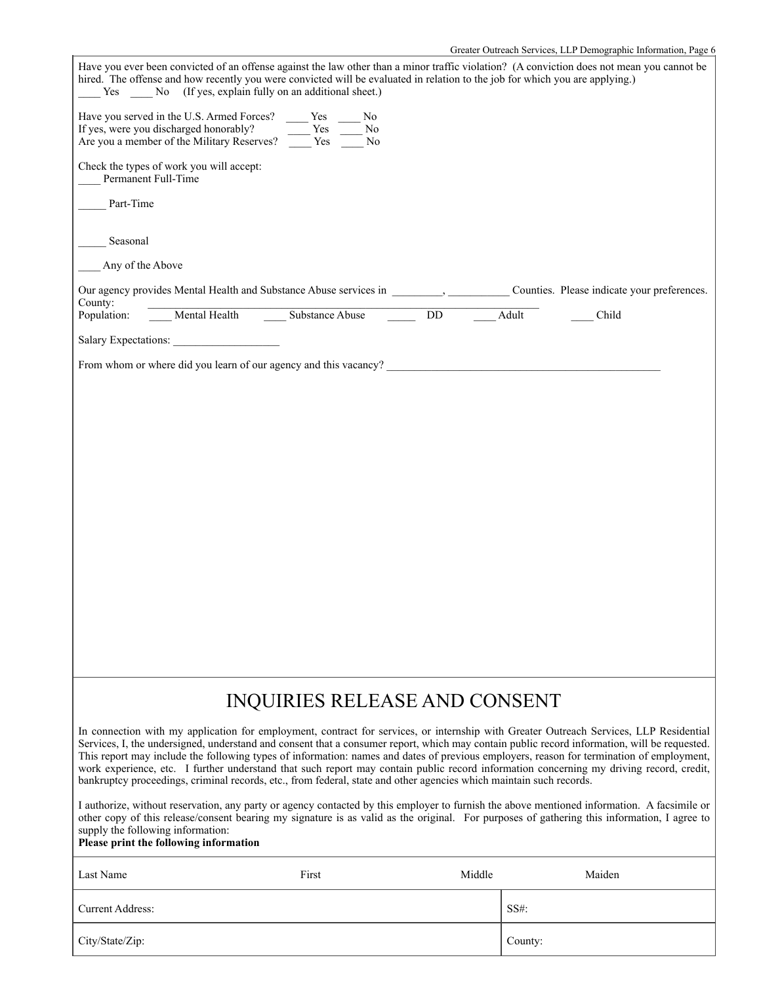| Have you ever been convicted of an offense against the law other than a minor traffic violation? (A conviction does not mean you cannot be<br>hired. The offense and how recently you were convicted will be evaluated in relation to the job for which you are applying.)<br>Yes No (If yes, explain fully on an additional sheet.)                                                                                                                                                                                                                                                                                                                                                                 |               |                       |        |                                             |  |  |
|------------------------------------------------------------------------------------------------------------------------------------------------------------------------------------------------------------------------------------------------------------------------------------------------------------------------------------------------------------------------------------------------------------------------------------------------------------------------------------------------------------------------------------------------------------------------------------------------------------------------------------------------------------------------------------------------------|---------------|-----------------------|--------|---------------------------------------------|--|--|
| Have you served in the U.S. Armed Forces? Yes<br>If yes, were you discharged honorably?<br>Are you a member of the Military Reserves?                                                                                                                                                                                                                                                                                                                                                                                                                                                                                                                                                                | Yes<br>Yes No | No.<br>N <sub>0</sub> |        |                                             |  |  |
| Check the types of work you will accept:<br>Permanent Full-Time                                                                                                                                                                                                                                                                                                                                                                                                                                                                                                                                                                                                                                      |               |                       |        |                                             |  |  |
| Part-Time                                                                                                                                                                                                                                                                                                                                                                                                                                                                                                                                                                                                                                                                                            |               |                       |        |                                             |  |  |
| Seasonal                                                                                                                                                                                                                                                                                                                                                                                                                                                                                                                                                                                                                                                                                             |               |                       |        |                                             |  |  |
| Any of the Above                                                                                                                                                                                                                                                                                                                                                                                                                                                                                                                                                                                                                                                                                     |               |                       |        |                                             |  |  |
| Our agency provides Mental Health and Substance Abuse services in _______________<br>County:                                                                                                                                                                                                                                                                                                                                                                                                                                                                                                                                                                                                         |               |                       |        | Counties. Please indicate your preferences. |  |  |
| Mental Health Substance Abuse<br>Population:                                                                                                                                                                                                                                                                                                                                                                                                                                                                                                                                                                                                                                                         |               |                       | DD.    | Adult<br>Child                              |  |  |
| Salary Expectations:                                                                                                                                                                                                                                                                                                                                                                                                                                                                                                                                                                                                                                                                                 |               |                       |        |                                             |  |  |
| From whom or where did you learn of our agency and this vacancy?                                                                                                                                                                                                                                                                                                                                                                                                                                                                                                                                                                                                                                     |               |                       |        |                                             |  |  |
|                                                                                                                                                                                                                                                                                                                                                                                                                                                                                                                                                                                                                                                                                                      |               |                       |        |                                             |  |  |
|                                                                                                                                                                                                                                                                                                                                                                                                                                                                                                                                                                                                                                                                                                      |               |                       |        |                                             |  |  |
|                                                                                                                                                                                                                                                                                                                                                                                                                                                                                                                                                                                                                                                                                                      |               |                       |        |                                             |  |  |
|                                                                                                                                                                                                                                                                                                                                                                                                                                                                                                                                                                                                                                                                                                      |               |                       |        |                                             |  |  |
|                                                                                                                                                                                                                                                                                                                                                                                                                                                                                                                                                                                                                                                                                                      |               |                       |        |                                             |  |  |
|                                                                                                                                                                                                                                                                                                                                                                                                                                                                                                                                                                                                                                                                                                      |               |                       |        |                                             |  |  |
|                                                                                                                                                                                                                                                                                                                                                                                                                                                                                                                                                                                                                                                                                                      |               |                       |        |                                             |  |  |
|                                                                                                                                                                                                                                                                                                                                                                                                                                                                                                                                                                                                                                                                                                      |               |                       |        |                                             |  |  |
|                                                                                                                                                                                                                                                                                                                                                                                                                                                                                                                                                                                                                                                                                                      |               |                       |        |                                             |  |  |
|                                                                                                                                                                                                                                                                                                                                                                                                                                                                                                                                                                                                                                                                                                      |               |                       |        |                                             |  |  |
|                                                                                                                                                                                                                                                                                                                                                                                                                                                                                                                                                                                                                                                                                                      |               |                       |        |                                             |  |  |
|                                                                                                                                                                                                                                                                                                                                                                                                                                                                                                                                                                                                                                                                                                      |               |                       |        |                                             |  |  |
|                                                                                                                                                                                                                                                                                                                                                                                                                                                                                                                                                                                                                                                                                                      |               |                       |        |                                             |  |  |
| INQUIRIES RELEASE AND CONSENT                                                                                                                                                                                                                                                                                                                                                                                                                                                                                                                                                                                                                                                                        |               |                       |        |                                             |  |  |
| In connection with my application for employment, contract for services, or internship with Greater Outreach Services, LLP Residential<br>Services, I, the undersigned, understand and consent that a consumer report, which may contain public record information, will be requested.<br>This report may include the following types of information: names and dates of previous employers, reason for termination of employment,<br>work experience, etc. I further understand that such report may contain public record information concerning my driving record, credit,<br>bankruptcy proceedings, criminal records, etc., from federal, state and other agencies which maintain such records. |               |                       |        |                                             |  |  |
| I authorize, without reservation, any party or agency contacted by this employer to furnish the above mentioned information. A facsimile or<br>other copy of this release/consent bearing my signature is as valid as the original. For purposes of gathering this information, I agree to<br>supply the following information:<br>Please print the following information                                                                                                                                                                                                                                                                                                                            |               |                       |        |                                             |  |  |
| Last Name                                                                                                                                                                                                                                                                                                                                                                                                                                                                                                                                                                                                                                                                                            | First         |                       | Middle | Maiden                                      |  |  |
| <b>Current Address:</b>                                                                                                                                                                                                                                                                                                                                                                                                                                                                                                                                                                                                                                                                              |               |                       |        | SS#:                                        |  |  |
| City/State/Zip:                                                                                                                                                                                                                                                                                                                                                                                                                                                                                                                                                                                                                                                                                      |               |                       |        | County:                                     |  |  |